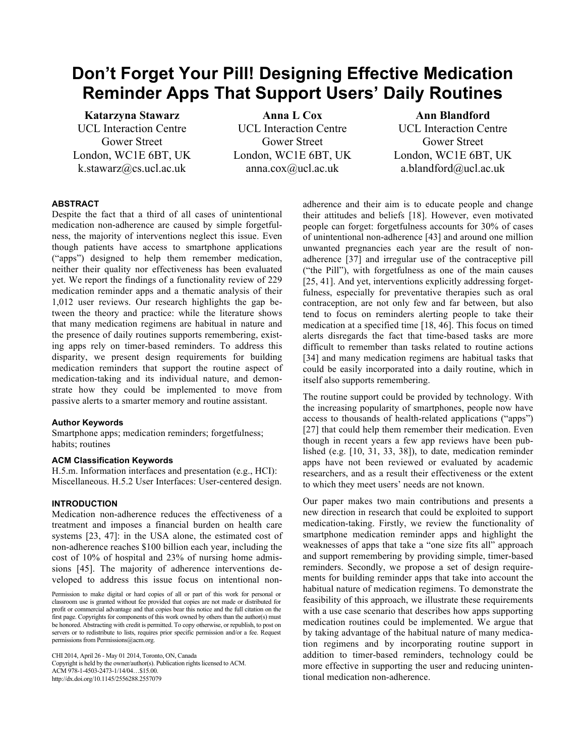# **Don't Forget Your Pill! Designing Effective Medication Reminder Apps That Support Users' Daily Routines**

**Katarzyna Stawarz** UCL Interaction Centre Gower Street London, WC1E 6BT, UK k.stawarz@cs.ucl.ac.uk

**Anna L Cox** UCL Interaction Centre Gower Street London, WC1E 6BT, UK anna.cox@ucl.ac.uk

**Ann Blandford** UCL Interaction Centre Gower Street London, WC1E 6BT, UK a.blandford@ucl.ac.uk

# **ABSTRACT**

Despite the fact that a third of all cases of unintentional medication non-adherence are caused by simple forgetfulness, the majority of interventions neglect this issue. Even though patients have access to smartphone applications ("apps") designed to help them remember medication, neither their quality nor effectiveness has been evaluated yet. We report the findings of a functionality review of 229 medication reminder apps and a thematic analysis of their 1,012 user reviews. Our research highlights the gap between the theory and practice: while the literature shows that many medication regimens are habitual in nature and the presence of daily routines supports remembering, existing apps rely on timer-based reminders. To address this disparity, we present design requirements for building medication reminders that support the routine aspect of medication-taking and its individual nature, and demonstrate how they could be implemented to move from passive alerts to a smarter memory and routine assistant.

#### **Author Keywords**

Smartphone apps; medication reminders; forgetfulness; habits; routines

#### **ACM Classification Keywords**

H.5.m. Information interfaces and presentation (e.g., HCI): Miscellaneous. H.5.2 User Interfaces: User-centered design.

#### **INTRODUCTION**

Medication non-adherence reduces the effectiveness of a treatment and imposes a financial burden on health care systems [23, 47]: in the USA alone, the estimated cost of non-adherence reaches \$100 billion each year, including the cost of 10% of hospital and 23% of nursing home admissions [45]. The majority of adherence interventions developed to address this issue focus on intentional non-

CHI 2014, April 26 - May 01 2014, Toronto, ON, Canada Copyright is held by the owner/author(s). Publication rights licensed to ACM. ACM 978-1-4503-2473-1/14/04…\$15.00. http://dx.doi.org/10.1145/2556288.2557079

adherence and their aim is to educate people and change their attitudes and beliefs [18]. However, even motivated people can forget: forgetfulness accounts for 30% of cases of unintentional non-adherence [43] and around one million unwanted pregnancies each year are the result of nonadherence [37] and irregular use of the contraceptive pill ("the Pill"), with forgetfulness as one of the main causes [25, 41]. And yet, interventions explicitly addressing forgetfulness, especially for preventative therapies such as oral contraception, are not only few and far between, but also tend to focus on reminders alerting people to take their medication at a specified time [18, 46]. This focus on timed alerts disregards the fact that time-based tasks are more difficult to remember than tasks related to routine actions [34] and many medication regimens are habitual tasks that could be easily incorporated into a daily routine, which in itself also supports remembering.

The routine support could be provided by technology. With the increasing popularity of smartphones, people now have access to thousands of health-related applications ("apps") [27] that could help them remember their medication. Even though in recent years a few app reviews have been published (e.g. [10, 31, 33, 38]), to date, medication reminder apps have not been reviewed or evaluated by academic researchers, and as a result their effectiveness or the extent to which they meet users' needs are not known.

Our paper makes two main contributions and presents a new direction in research that could be exploited to support medication-taking. Firstly, we review the functionality of smartphone medication reminder apps and highlight the weaknesses of apps that take a "one size fits all" approach and support remembering by providing simple, timer-based reminders. Secondly, we propose a set of design requirements for building reminder apps that take into account the habitual nature of medication regimens. To demonstrate the feasibility of this approach, we illustrate these requirements with a use case scenario that describes how apps supporting medication routines could be implemented. We argue that by taking advantage of the habitual nature of many medication regimens and by incorporating routine support in addition to timer-based reminders, technology could be more effective in supporting the user and reducing unintentional medication non-adherence.

Permission to make digital or hard copies of all or part of this work for personal or classroom use is granted without fee provided that copies are not made or distributed for profit or commercial advantage and that copies bear this notice and the full citation on the first page. Copyrights for components of this work owned by others than the author(s) must be honored. Abstracting with credit is permitted. To copy otherwise, or republish, to post on servers or to redistribute to lists, requires prior specific permission and/or a fee. Request permissions from Permissions@acm.org.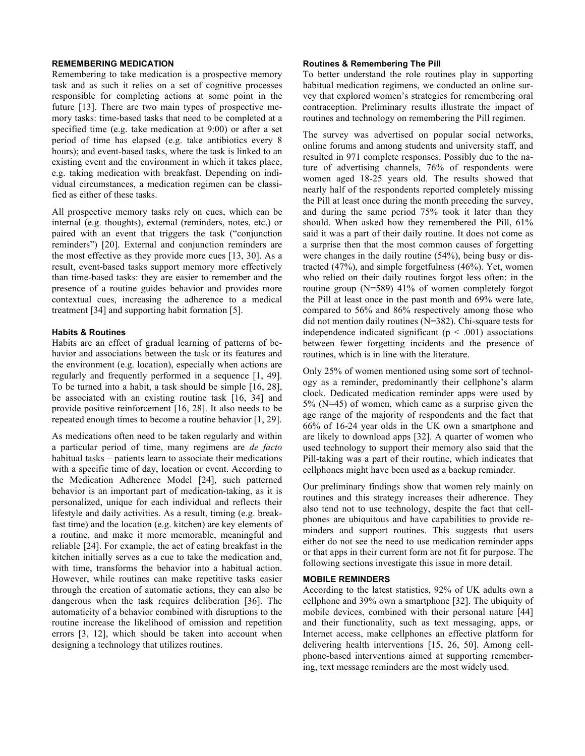# **REMEMBERING MEDICATION**

Remembering to take medication is a prospective memory task and as such it relies on a set of cognitive processes responsible for completing actions at some point in the future [13]. There are two main types of prospective memory tasks: time-based tasks that need to be completed at a specified time (e.g. take medication at 9:00) or after a set period of time has elapsed (e.g. take antibiotics every 8 hours); and event-based tasks, where the task is linked to an existing event and the environment in which it takes place, e.g. taking medication with breakfast. Depending on individual circumstances, a medication regimen can be classified as either of these tasks.

All prospective memory tasks rely on cues, which can be internal (e.g. thoughts), external (reminders, notes, etc.) or paired with an event that triggers the task ("conjunction reminders") [20]. External and conjunction reminders are the most effective as they provide more cues [13, 30]. As a result, event-based tasks support memory more effectively than time-based tasks: they are easier to remember and the presence of a routine guides behavior and provides more contextual cues, increasing the adherence to a medical treatment [34] and supporting habit formation [5].

## **Habits & Routines**

Habits are an effect of gradual learning of patterns of behavior and associations between the task or its features and the environment (e.g. location), especially when actions are regularly and frequently performed in a sequence [1, 49]. To be turned into a habit, a task should be simple [16, 28], be associated with an existing routine task [16, 34] and provide positive reinforcement [16, 28]. It also needs to be repeated enough times to become a routine behavior [1, 29].

As medications often need to be taken regularly and within a particular period of time, many regimens are *de facto*  habitual tasks – patients learn to associate their medications with a specific time of day, location or event. According to the Medication Adherence Model [24], such patterned behavior is an important part of medication-taking, as it is personalized, unique for each individual and reflects their lifestyle and daily activities. As a result, timing (e.g. breakfast time) and the location (e.g. kitchen) are key elements of a routine, and make it more memorable, meaningful and reliable [24]. For example, the act of eating breakfast in the kitchen initially serves as a cue to take the medication and, with time, transforms the behavior into a habitual action. However, while routines can make repetitive tasks easier through the creation of automatic actions, they can also be dangerous when the task requires deliberation [36]. The automaticity of a behavior combined with disruptions to the routine increase the likelihood of omission and repetition errors [3, 12], which should be taken into account when designing a technology that utilizes routines.

## **Routines & Remembering The Pill**

To better understand the role routines play in supporting habitual medication regimens, we conducted an online survey that explored women's strategies for remembering oral contraception. Preliminary results illustrate the impact of routines and technology on remembering the Pill regimen.

The survey was advertised on popular social networks, online forums and among students and university staff, and resulted in 971 complete responses. Possibly due to the nature of advertising channels, 76% of respondents were women aged 18-25 years old. The results showed that nearly half of the respondents reported completely missing the Pill at least once during the month preceding the survey, and during the same period 75% took it later than they should. When asked how they remembered the Pill, 61% said it was a part of their daily routine. It does not come as a surprise then that the most common causes of forgetting were changes in the daily routine (54%), being busy or distracted (47%), and simple forgetfulness (46%). Yet, women who relied on their daily routines forgot less often: in the routine group (N=589) 41% of women completely forgot the Pill at least once in the past month and 69% were late, compared to 56% and 86% respectively among those who did not mention daily routines (N=382). Chi-square tests for independence indicated significant ( $p < .001$ ) associations between fewer forgetting incidents and the presence of routines, which is in line with the literature.

Only 25% of women mentioned using some sort of technology as a reminder, predominantly their cellphone's alarm clock. Dedicated medication reminder apps were used by 5% (N=45) of women, which came as a surprise given the age range of the majority of respondents and the fact that 66% of 16-24 year olds in the UK own a smartphone and are likely to download apps [32]. A quarter of women who used technology to support their memory also said that the Pill-taking was a part of their routine, which indicates that cellphones might have been used as a backup reminder.

Our preliminary findings show that women rely mainly on routines and this strategy increases their adherence. They also tend not to use technology, despite the fact that cellphones are ubiquitous and have capabilities to provide reminders and support routines. This suggests that users either do not see the need to use medication reminder apps or that apps in their current form are not fit for purpose. The following sections investigate this issue in more detail.

#### **MOBILE REMINDERS**

According to the latest statistics, 92% of UK adults own a cellphone and 39% own a smartphone [32]. The ubiquity of mobile devices, combined with their personal nature [44] and their functionality, such as text messaging, apps, or Internet access, make cellphones an effective platform for delivering health interventions [15, 26, 50]. Among cellphone-based interventions aimed at supporting remembering, text message reminders are the most widely used.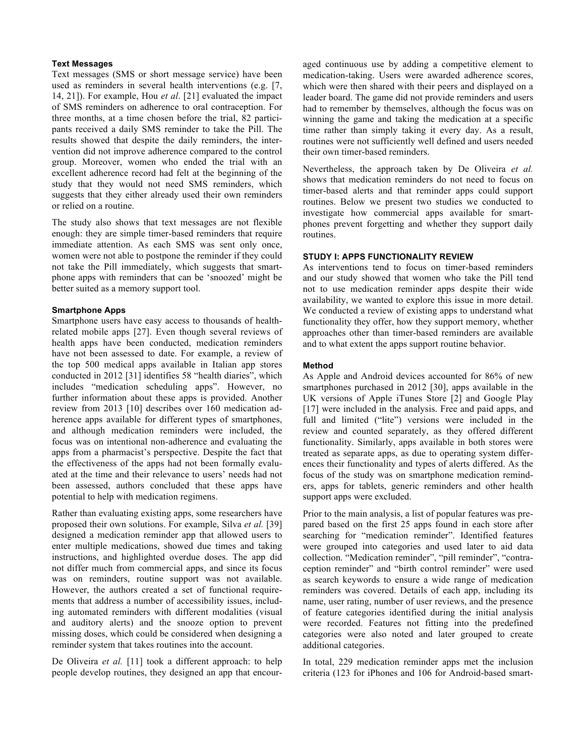## **Text Messages**

Text messages (SMS or short message service) have been used as reminders in several health interventions (e.g. [7, 14, 21]). For example, Hou *et al*. [21] evaluated the impact of SMS reminders on adherence to oral contraception. For three months, at a time chosen before the trial, 82 participants received a daily SMS reminder to take the Pill. The results showed that despite the daily reminders, the intervention did not improve adherence compared to the control group. Moreover, women who ended the trial with an excellent adherence record had felt at the beginning of the study that they would not need SMS reminders, which suggests that they either already used their own reminders or relied on a routine.

The study also shows that text messages are not flexible enough: they are simple timer-based reminders that require immediate attention. As each SMS was sent only once, women were not able to postpone the reminder if they could not take the Pill immediately, which suggests that smartphone apps with reminders that can be 'snoozed' might be better suited as a memory support tool.

# **Smartphone Apps**

Smartphone users have easy access to thousands of healthrelated mobile apps [27]. Even though several reviews of health apps have been conducted, medication reminders have not been assessed to date. For example, a review of the top 500 medical apps available in Italian app stores conducted in 2012 [31] identifies 58 "health diaries", which includes "medication scheduling apps". However, no further information about these apps is provided. Another review from 2013 [10] describes over 160 medication adherence apps available for different types of smartphones, and although medication reminders were included, the focus was on intentional non-adherence and evaluating the apps from a pharmacist's perspective. Despite the fact that the effectiveness of the apps had not been formally evaluated at the time and their relevance to users' needs had not been assessed, authors concluded that these apps have potential to help with medication regimens.

Rather than evaluating existing apps, some researchers have proposed their own solutions. For example, Silva *et al.* [39] designed a medication reminder app that allowed users to enter multiple medications, showed due times and taking instructions, and highlighted overdue doses. The app did not differ much from commercial apps, and since its focus was on reminders, routine support was not available. However, the authors created a set of functional requirements that address a number of accessibility issues, including automated reminders with different modalities (visual and auditory alerts) and the snooze option to prevent missing doses, which could be considered when designing a reminder system that takes routines into the account.

De Oliveira *et al.* [11] took a different approach: to help people develop routines, they designed an app that encour-

aged continuous use by adding a competitive element to medication-taking. Users were awarded adherence scores, which were then shared with their peers and displayed on a leader board. The game did not provide reminders and users had to remember by themselves, although the focus was on winning the game and taking the medication at a specific time rather than simply taking it every day. As a result, routines were not sufficiently well defined and users needed their own timer-based reminders.

Nevertheless, the approach taken by De Oliveira *et al.* shows that medication reminders do not need to focus on timer-based alerts and that reminder apps could support routines. Below we present two studies we conducted to investigate how commercial apps available for smartphones prevent forgetting and whether they support daily routines.

## **STUDY I: APPS FUNCTIONALITY REVIEW**

As interventions tend to focus on timer-based reminders and our study showed that women who take the Pill tend not to use medication reminder apps despite their wide availability, we wanted to explore this issue in more detail. We conducted a review of existing apps to understand what functionality they offer, how they support memory, whether approaches other than timer-based reminders are available and to what extent the apps support routine behavior.

## **Method**

As Apple and Android devices accounted for 86% of new smartphones purchased in 2012 [30], apps available in the UK versions of Apple iTunes Store [2] and Google Play [17] were included in the analysis. Free and paid apps, and full and limited ("lite") versions were included in the review and counted separately, as they offered different functionality. Similarly, apps available in both stores were treated as separate apps, as due to operating system differences their functionality and types of alerts differed. As the focus of the study was on smartphone medication reminders, apps for tablets, generic reminders and other health support apps were excluded.

Prior to the main analysis, a list of popular features was prepared based on the first 25 apps found in each store after searching for "medication reminder". Identified features were grouped into categories and used later to aid data collection. "Medication reminder", "pill reminder", "contraception reminder" and "birth control reminder" were used as search keywords to ensure a wide range of medication reminders was covered. Details of each app, including its name, user rating, number of user reviews, and the presence of feature categories identified during the initial analysis were recorded. Features not fitting into the predefined categories were also noted and later grouped to create additional categories.

In total, 229 medication reminder apps met the inclusion criteria (123 for iPhones and 106 for Android-based smart-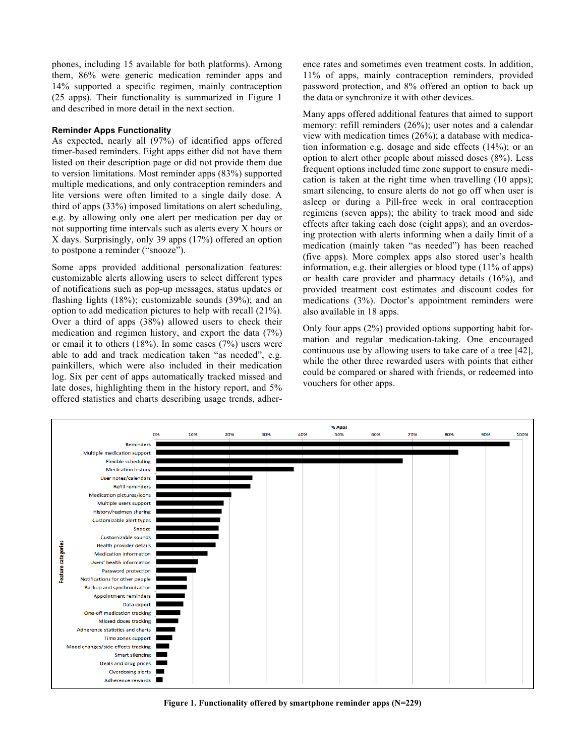phones, including 15 available for both platforms). Among them, 86% were generic medication reminder apps and 14% supported a specific regimen, mainly contraception (25 apps). Their functionality is summarized in Figure 1 and described in more detail in the next section.

## **Reminder Apps Functionality**

As expected, nearly all (97%) of identified apps offered timer-based reminders. Eight apps either did not have them listed on their description page or did not provide them due to version limitations. Most reminder apps (83%) supported multiple medications, and only contraception reminders and lite versions were often limited to a single daily dose. A third of apps (33%) imposed limitations on alert scheduling, e.g. by allowing only one alert per medication per day or not supporting time intervals such as alerts every X hours or X days. Surprisingly, only 39 apps (17%) offered an option to postpone a reminder ("snooze").

Some apps provided additional personalization features: customizable alerts allowing users to select different types of notifications such as pop-up messages, status updates or flashing lights (18%); customizable sounds (39%); and an option to add medication pictures to help with recall (21%). Over a third of apps (38%) allowed users to check their medication and regimen history, and export the data (7%) or email it to others (18%). In some cases (7%) users were able to add and track medication taken "as needed", e.g. painkillers, which were also included in their medication log. Six per cent of apps automatically tracked missed and late doses, highlighting them in the history report, and 5% offered statistics and charts describing usage trends, adherence rates and sometimes even treatment costs. In addition, 11% of apps, mainly contraception reminders, provided password protection, and 8% offered an option to back up the data or synchronize it with other devices.

Many apps offered additional features that aimed to support memory: refill reminders (26%); user notes and a calendar view with medication times (26%); a database with medication information e.g. dosage and side effects (14%); or an option to alert other people about missed doses (8%). Less frequent options included time zone support to ensure medication is taken at the right time when travelling (10 apps); smart silencing, to ensure alerts do not go off when user is asleep or during a Pill-free week in oral contraception regimens (seven apps); the ability to track mood and side effects after taking each dose (eight apps); and an overdosing protection with alerts informing when a daily limit of a medication (mainly taken "as needed") has been reached (five apps). More complex apps also stored user's health information, e.g. their allergies or blood type (11% of apps) or health care provider and pharmacy details (16%), and provided treatment cost estimates and discount codes for medications (3%). Doctor's appointment reminders were also available in 18 apps.

Only four apps (2%) provided options supporting habit formation and regular medication-taking. One encouraged continuous use by allowing users to take care of a tree [42], while the other three rewarded users with points that either could be compared or shared with friends, or redeemed into vouchers for other apps.



**Figure 1. Functionality offered by smartphone reminder apps (N=229)**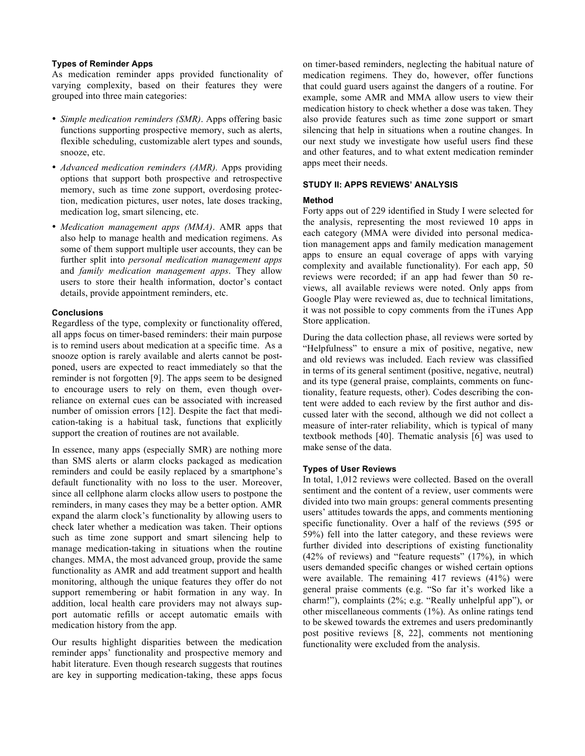## **Types of Reminder Apps**

As medication reminder apps provided functionality of varying complexity, based on their features they were grouped into three main categories:

- *Simple medication reminders (SMR)*. Apps offering basic functions supporting prospective memory, such as alerts, flexible scheduling, customizable alert types and sounds, snooze, etc.
- *Advanced medication reminders (AMR).* Apps providing options that support both prospective and retrospective memory, such as time zone support, overdosing protection, medication pictures, user notes, late doses tracking, medication log, smart silencing, etc.
- *Medication management apps (MMA)*. AMR apps that also help to manage health and medication regimens. As some of them support multiple user accounts, they can be further split into *personal medication management apps* and *family medication management apps*. They allow users to store their health information, doctor's contact details, provide appointment reminders, etc.

## **Conclusions**

Regardless of the type, complexity or functionality offered, all apps focus on timer-based reminders: their main purpose is to remind users about medication at a specific time. As a snooze option is rarely available and alerts cannot be postponed, users are expected to react immediately so that the reminder is not forgotten [9]. The apps seem to be designed to encourage users to rely on them, even though overreliance on external cues can be associated with increased number of omission errors [12]. Despite the fact that medication-taking is a habitual task, functions that explicitly support the creation of routines are not available.

In essence, many apps (especially SMR) are nothing more than SMS alerts or alarm clocks packaged as medication reminders and could be easily replaced by a smartphone's default functionality with no loss to the user. Moreover, since all cellphone alarm clocks allow users to postpone the reminders, in many cases they may be a better option. AMR expand the alarm clock's functionality by allowing users to check later whether a medication was taken. Their options such as time zone support and smart silencing help to manage medication-taking in situations when the routine changes. MMA, the most advanced group, provide the same functionality as AMR and add treatment support and health monitoring, although the unique features they offer do not support remembering or habit formation in any way. In addition, local health care providers may not always support automatic refills or accept automatic emails with medication history from the app.

Our results highlight disparities between the medication reminder apps' functionality and prospective memory and habit literature. Even though research suggests that routines are key in supporting medication-taking, these apps focus

on timer-based reminders, neglecting the habitual nature of medication regimens. They do, however, offer functions that could guard users against the dangers of a routine. For example, some AMR and MMA allow users to view their medication history to check whether a dose was taken. They also provide features such as time zone support or smart silencing that help in situations when a routine changes. In our next study we investigate how useful users find these and other features, and to what extent medication reminder apps meet their needs.

## **STUDY II: APPS REVIEWS' ANALYSIS**

## **Method**

Forty apps out of 229 identified in Study I were selected for the analysis, representing the most reviewed 10 apps in each category (MMA were divided into personal medication management apps and family medication management apps to ensure an equal coverage of apps with varying complexity and available functionality). For each app, 50 reviews were recorded; if an app had fewer than 50 reviews, all available reviews were noted. Only apps from Google Play were reviewed as, due to technical limitations, it was not possible to copy comments from the iTunes App Store application.

During the data collection phase, all reviews were sorted by "Helpfulness" to ensure a mix of positive, negative, new and old reviews was included. Each review was classified in terms of its general sentiment (positive, negative, neutral) and its type (general praise, complaints, comments on functionality, feature requests, other). Codes describing the content were added to each review by the first author and discussed later with the second, although we did not collect a measure of inter-rater reliability, which is typical of many textbook methods [40]. Thematic analysis [6] was used to make sense of the data.

#### **Types of User Reviews**

In total, 1,012 reviews were collected. Based on the overall sentiment and the content of a review, user comments were divided into two main groups: general comments presenting users' attitudes towards the apps, and comments mentioning specific functionality. Over a half of the reviews (595 or 59%) fell into the latter category, and these reviews were further divided into descriptions of existing functionality (42% of reviews) and "feature requests" (17%), in which users demanded specific changes or wished certain options were available. The remaining 417 reviews (41%) were general praise comments (e.g. "So far it's worked like a charm!"), complaints (2%; e.g. "Really unhelpful app"), or other miscellaneous comments (1%). As online ratings tend to be skewed towards the extremes and users predominantly post positive reviews [8, 22], comments not mentioning functionality were excluded from the analysis.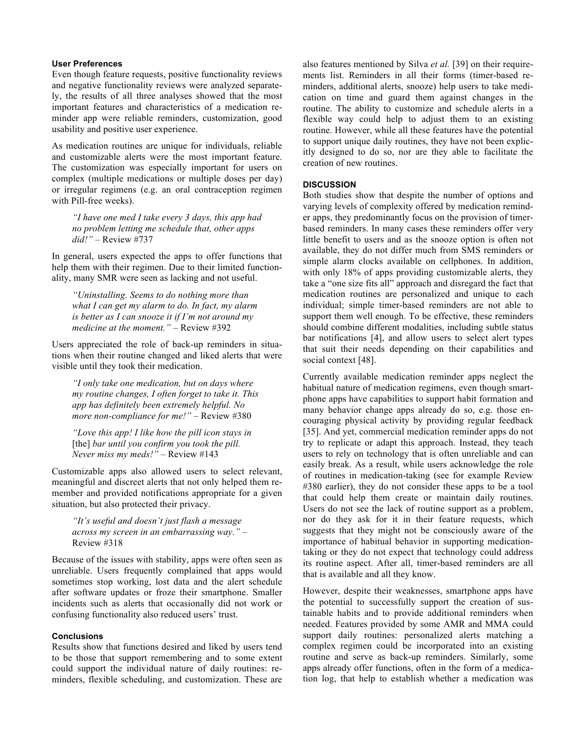#### **User Preferences**

Even though feature requests, positive functionality reviews and negative functionality reviews were analyzed separately, the results of all three analyses showed that the most important features and characteristics of a medication reminder app were reliable reminders, customization, good usability and positive user experience.

As medication routines are unique for individuals, reliable and customizable alerts were the most important feature. The customization was especially important for users on complex (multiple medications or multiple doses per day) or irregular regimens (e.g. an oral contraception regimen with Pill-free weeks).

*"I have one med I take every 3 days, this app had no problem letting me schedule that, other apps did!"* – Review #737

In general, users expected the apps to offer functions that help them with their regimen. Due to their limited functionality, many SMR were seen as lacking and not useful.

*"Uninstalling. Seems to do nothing more than what I can get my alarm to do. In fact, my alarm is better as I can snooze it if I'm not around my medicine at the moment." –* Review #392

Users appreciated the role of back-up reminders in situations when their routine changed and liked alerts that were visible until they took their medication.

*"I only take one medication, but on days where my routine changes, I often forget to take it. This app has definitely been extremely helpful. No more non-compliance for me!"* – Review #380

*"Love this app! I like how the pill icon stays in*  [the] *bar until you confirm you took the pill. Never miss my meds!"* – Review #143

Customizable apps also allowed users to select relevant, meaningful and discreet alerts that not only helped them remember and provided notifications appropriate for a given situation, but also protected their privacy.

*"It's useful and doesn't just flash a message across my screen in an embarrassing way." –* Review #318

Because of the issues with stability, apps were often seen as unreliable. Users frequently complained that apps would sometimes stop working, lost data and the alert schedule after software updates or froze their smartphone. Smaller incidents such as alerts that occasionally did not work or confusing functionality also reduced users' trust.

## **Conclusions**

Results show that functions desired and liked by users tend to be those that support remembering and to some extent could support the individual nature of daily routines: reminders, flexible scheduling, and customization. These are

also features mentioned by Silva *et al.* [39] on their requirements list. Reminders in all their forms (timer-based reminders, additional alerts, snooze) help users to take medication on time and guard them against changes in the routine. The ability to customize and schedule alerts in a flexible way could help to adjust them to an existing routine. However, while all these features have the potential to support unique daily routines, they have not been explicitly designed to do so, nor are they able to facilitate the creation of new routines.

# **DISCUSSION**

Both studies show that despite the number of options and varying levels of complexity offered by medication reminder apps, they predominantly focus on the provision of timerbased reminders. In many cases these reminders offer very little benefit to users and as the snooze option is often not available, they do not differ much from SMS reminders or simple alarm clocks available on cellphones. In addition, with only 18% of apps providing customizable alerts, they take a "one size fits all" approach and disregard the fact that medication routines are personalized and unique to each individual; simple timer-based reminders are not able to support them well enough. To be effective, these reminders should combine different modalities, including subtle status bar notifications [4], and allow users to select alert types that suit their needs depending on their capabilities and social context [48].

Currently available medication reminder apps neglect the habitual nature of medication regimens, even though smartphone apps have capabilities to support habit formation and many behavior change apps already do so, e.g. those encouraging physical activity by providing regular feedback [35]. And yet, commercial medication reminder apps do not try to replicate or adapt this approach. Instead, they teach users to rely on technology that is often unreliable and can easily break. As a result, while users acknowledge the role of routines in medication-taking (see for example Review #380 earlier), they do not consider these apps to be a tool that could help them create or maintain daily routines. Users do not see the lack of routine support as a problem, nor do they ask for it in their feature requests, which suggests that they might not be consciously aware of the importance of habitual behavior in supporting medicationtaking or they do not expect that technology could address its routine aspect. After all, timer-based reminders are all that is available and all they know.

However, despite their weaknesses, smartphone apps have the potential to successfully support the creation of sustainable habits and to provide additional reminders when needed. Features provided by some AMR and MMA could support daily routines: personalized alerts matching a complex regimen could be incorporated into an existing routine and serve as back-up reminders. Similarly, some apps already offer functions, often in the form of a medication log, that help to establish whether a medication was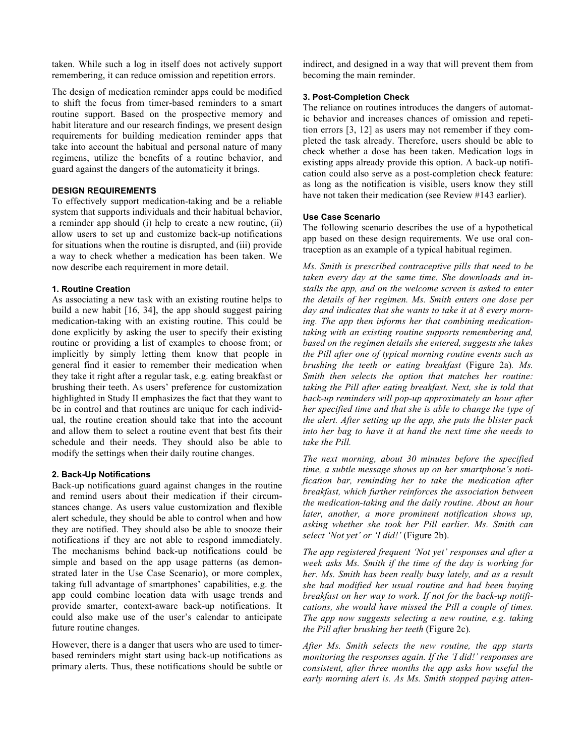taken. While such a log in itself does not actively support remembering, it can reduce omission and repetition errors.

The design of medication reminder apps could be modified to shift the focus from timer-based reminders to a smart routine support. Based on the prospective memory and habit literature and our research findings, we present design requirements for building medication reminder apps that take into account the habitual and personal nature of many regimens, utilize the benefits of a routine behavior, and guard against the dangers of the automaticity it brings.

# **DESIGN REQUIREMENTS**

To effectively support medication-taking and be a reliable system that supports individuals and their habitual behavior, a reminder app should (i) help to create a new routine, (ii) allow users to set up and customize back-up notifications for situations when the routine is disrupted, and (iii) provide a way to check whether a medication has been taken. We now describe each requirement in more detail.

## **1. Routine Creation**

As associating a new task with an existing routine helps to build a new habit [16, 34], the app should suggest pairing medication-taking with an existing routine. This could be done explicitly by asking the user to specify their existing routine or providing a list of examples to choose from; or implicitly by simply letting them know that people in general find it easier to remember their medication when they take it right after a regular task, e.g. eating breakfast or brushing their teeth. As users' preference for customization highlighted in Study II emphasizes the fact that they want to be in control and that routines are unique for each individual, the routine creation should take that into the account and allow them to select a routine event that best fits their schedule and their needs. They should also be able to modify the settings when their daily routine changes.

## **2. Back-Up Notifications**

Back-up notifications guard against changes in the routine and remind users about their medication if their circumstances change. As users value customization and flexible alert schedule, they should be able to control when and how they are notified. They should also be able to snooze their notifications if they are not able to respond immediately. The mechanisms behind back-up notifications could be simple and based on the app usage patterns (as demonstrated later in the Use Case Scenario), or more complex, taking full advantage of smartphones' capabilities, e.g. the app could combine location data with usage trends and provide smarter, context-aware back-up notifications. It could also make use of the user's calendar to anticipate future routine changes.

However, there is a danger that users who are used to timerbased reminders might start using back-up notifications as primary alerts. Thus, these notifications should be subtle or

indirect, and designed in a way that will prevent them from becoming the main reminder.

#### **3. Post-Completion Check**

The reliance on routines introduces the dangers of automatic behavior and increases chances of omission and repetition errors [3, 12] as users may not remember if they completed the task already. Therefore, users should be able to check whether a dose has been taken. Medication logs in existing apps already provide this option. A back-up notification could also serve as a post-completion check feature: as long as the notification is visible, users know they still have not taken their medication (see Review #143 earlier).

## **Use Case Scenario**

The following scenario describes the use of a hypothetical app based on these design requirements. We use oral contraception as an example of a typical habitual regimen.

*Ms. Smith is prescribed contraceptive pills that need to be taken every day at the same time. She downloads and installs the app, and on the welcome screen is asked to enter the details of her regimen. Ms. Smith enters one dose per day and indicates that she wants to take it at 8 every morning. The app then informs her that combining medicationtaking with an existing routine supports remembering and, based on the regimen details she entered, suggests she takes the Pill after one of typical morning routine events such as brushing the teeth or eating breakfast* (Figure 2a)*. Ms. Smith then selects the option that matches her routine: taking the Pill after eating breakfast. Next, she is told that back-up reminders will pop-up approximately an hour after her specified time and that she is able to change the type of the alert. After setting up the app, she puts the blister pack into her bag to have it at hand the next time she needs to take the Pill.*

*The next morning, about 30 minutes before the specified time, a subtle message shows up on her smartphone's notification bar, reminding her to take the medication after breakfast, which further reinforces the association between the medication-taking and the daily routine. About an hour later, another, a more prominent notification shows up, asking whether she took her Pill earlier. Ms. Smith can select 'Not yet' or 'I did!'* (Figure 2b).

*The app registered frequent 'Not yet' responses and after a week asks Ms. Smith if the time of the day is working for her. Ms. Smith has been really busy lately, and as a result she had modified her usual routine and had been buying breakfast on her way to work. If not for the back-up notifications, she would have missed the Pill a couple of times. The app now suggests selecting a new routine, e.g. taking the Pill after brushing her teeth* (Figure 2c)*.* 

*After Ms. Smith selects the new routine, the app starts monitoring the responses again. If the 'I did!' responses are consistent, after three months the app asks how useful the early morning alert is. As Ms. Smith stopped paying atten-*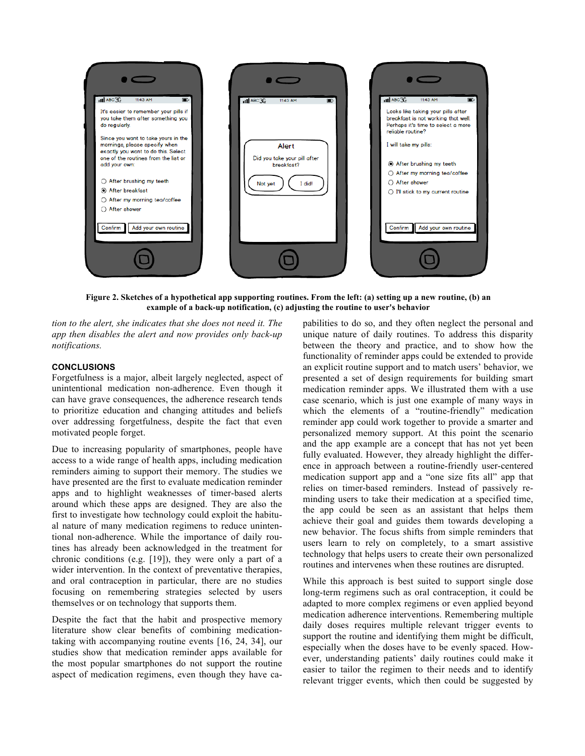

**Figure 2. Sketches of a hypothetical app supporting routines. From the left: (a) setting up a new routine, (b) an example of a back-up notification, (c) adjusting the routine to user's behavior**

*tion to the alert, she indicates that she does not need it. The app then disables the alert and now provides only back-up notifications.*

# **CONCLUSIONS**

Forgetfulness is a major, albeit largely neglected, aspect of unintentional medication non-adherence. Even though it can have grave consequences, the adherence research tends to prioritize education and changing attitudes and beliefs over addressing forgetfulness, despite the fact that even motivated people forget.

Due to increasing popularity of smartphones, people have access to a wide range of health apps, including medication reminders aiming to support their memory. The studies we have presented are the first to evaluate medication reminder apps and to highlight weaknesses of timer-based alerts around which these apps are designed. They are also the first to investigate how technology could exploit the habitual nature of many medication regimens to reduce unintentional non-adherence. While the importance of daily routines has already been acknowledged in the treatment for chronic conditions (e.g. [19]), they were only a part of a wider intervention. In the context of preventative therapies, and oral contraception in particular, there are no studies focusing on remembering strategies selected by users themselves or on technology that supports them.

Despite the fact that the habit and prospective memory literature show clear benefits of combining medicationtaking with accompanying routine events [16, 24, 34], our studies show that medication reminder apps available for the most popular smartphones do not support the routine aspect of medication regimens, even though they have capabilities to do so, and they often neglect the personal and unique nature of daily routines. To address this disparity between the theory and practice, and to show how the functionality of reminder apps could be extended to provide an explicit routine support and to match users' behavior, we presented a set of design requirements for building smart medication reminder apps. We illustrated them with a use case scenario, which is just one example of many ways in which the elements of a "routine-friendly" medication reminder app could work together to provide a smarter and personalized memory support. At this point the scenario and the app example are a concept that has not yet been fully evaluated. However, they already highlight the difference in approach between a routine-friendly user-centered medication support app and a "one size fits all" app that relies on timer-based reminders. Instead of passively reminding users to take their medication at a specified time, the app could be seen as an assistant that helps them achieve their goal and guides them towards developing a new behavior. The focus shifts from simple reminders that users learn to rely on completely, to a smart assistive technology that helps users to create their own personalized routines and intervenes when these routines are disrupted.

While this approach is best suited to support single dose long-term regimens such as oral contraception, it could be adapted to more complex regimens or even applied beyond medication adherence interventions. Remembering multiple daily doses requires multiple relevant trigger events to support the routine and identifying them might be difficult, especially when the doses have to be evenly spaced. However, understanding patients' daily routines could make it easier to tailor the regimen to their needs and to identify relevant trigger events, which then could be suggested by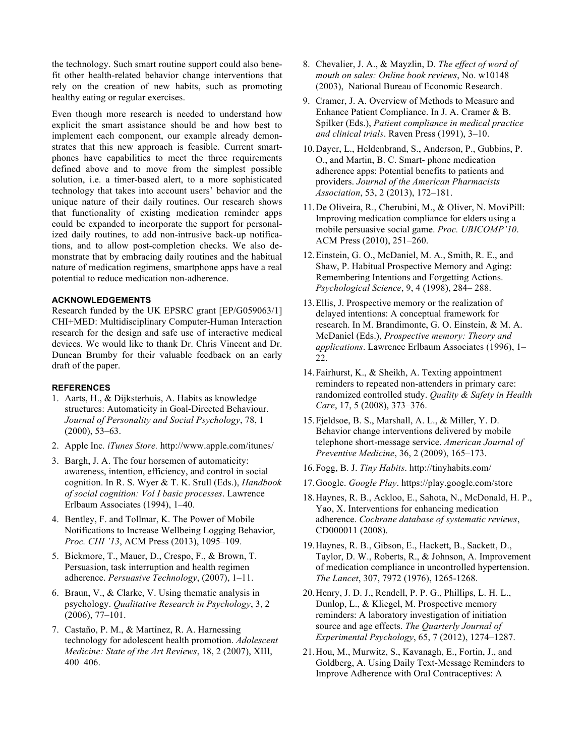the technology. Such smart routine support could also benefit other health-related behavior change interventions that rely on the creation of new habits, such as promoting healthy eating or regular exercises.

Even though more research is needed to understand how explicit the smart assistance should be and how best to implement each component, our example already demonstrates that this new approach is feasible. Current smartphones have capabilities to meet the three requirements defined above and to move from the simplest possible solution, i.e. a timer-based alert, to a more sophisticated technology that takes into account users' behavior and the unique nature of their daily routines. Our research shows that functionality of existing medication reminder apps could be expanded to incorporate the support for personalized daily routines, to add non-intrusive back-up notifications, and to allow post-completion checks. We also demonstrate that by embracing daily routines and the habitual nature of medication regimens, smartphone apps have a real potential to reduce medication non-adherence.

## **ACKNOWLEDGEMENTS**

Research funded by the UK EPSRC grant [EP/G059063/1] CHI+MED: Multidisciplinary Computer-Human Interaction research for the design and safe use of interactive medical devices. We would like to thank Dr. Chris Vincent and Dr. Duncan Brumby for their valuable feedback on an early draft of the paper.

#### **REFERENCES**

- 1. Aarts, H., & Dijksterhuis, A. Habits as knowledge structures: Automaticity in Goal-Directed Behaviour. *Journal of Personality and Social Psychology*, 78, 1 (2000), 53–63.
- 2. Apple Inc*. iTunes Store.* http://www.apple.com/itunes/
- 3. Bargh, J. A. The four horsemen of automaticity: awareness, intention, efficiency, and control in social cognition. In R. S. Wyer & T. K. Srull (Eds.), *Handbook of social cognition: Vol I basic processes*. Lawrence Erlbaum Associates (1994), 1–40.
- 4. Bentley, F. and Tollmar, K. The Power of Mobile Notifications to Increase Wellbeing Logging Behavior, *Proc. CHI '13*, ACM Press (2013), 1095–109.
- 5. Bickmore, T., Mauer, D., Crespo, F., & Brown, T. Persuasion, task interruption and health regimen adherence. *Persuasive Technology*, (2007), 1–11.
- 6. Braun, V., & Clarke, V. Using thematic analysis in psychology. *Qualitative Research in Psychology*, 3, 2 (2006), 77–101.
- 7. Castaño, P. M., & Martínez, R. A. Harnessing technology for adolescent health promotion. *Adolescent Medicine: State of the Art Reviews*, 18, 2 (2007), XIII, 400–406.
- 8. Chevalier, J. A., & Mayzlin, D. *The effect of word of mouth on sales: Online book reviews*, No. w10148 (2003), National Bureau of Economic Research.
- 9. Cramer, J. A. Overview of Methods to Measure and Enhance Patient Compliance. In J. A. Cramer & B. Spilker (Eds.), *Patient compliance in medical practice and clinical trials*. Raven Press (1991), 3–10.
- 10.Dayer, L., Heldenbrand, S., Anderson, P., Gubbins, P. O., and Martin, B. C. Smart- phone medication adherence apps: Potential benefits to patients and providers. *Journal of the American Pharmacists Association*, 53, 2 (2013), 172–181.
- 11.De Oliveira, R., Cherubini, M., & Oliver, N. MoviPill: Improving medication compliance for elders using a mobile persuasive social game. *Proc. UBICOMP'10*. ACM Press (2010), 251–260.
- 12.Einstein, G. O., McDaniel, M. A., Smith, R. E., and Shaw, P. Habitual Prospective Memory and Aging: Remembering Intentions and Forgetting Actions. *Psychological Science*, 9, 4 (1998), 284– 288.
- 13.Ellis, J. Prospective memory or the realization of delayed intentions: A conceptual framework for research. In M. Brandimonte, G. O. Einstein, & M. A. McDaniel (Eds.), *Prospective memory: Theory and applications*. Lawrence Erlbaum Associates (1996), 1– 22.
- 14.Fairhurst, K., & Sheikh, A. Texting appointment reminders to repeated non-attenders in primary care: randomized controlled study. *Quality & Safety in Health Care*, 17, 5 (2008), 373–376.
- 15.Fjeldsoe, B. S., Marshall, A. L., & Miller, Y. D. Behavior change interventions delivered by mobile telephone short-message service. *American Journal of Preventive Medicine*, 36, 2 (2009), 165–173.
- 16.Fogg, B. J. *Tiny Habits*. http://tinyhabits.com/
- 17.Google. *Google Play*. https://play.google.com/store
- 18.Haynes, R. B., Ackloo, E., Sahota, N., McDonald, H. P., Yao, X. Interventions for enhancing medication adherence. *Cochrane database of systematic reviews*, CD000011 (2008).
- 19.Haynes, R. B., Gibson, E., Hackett, B., Sackett, D., Taylor, D. W., Roberts, R., & Johnson, A. Improvement of medication compliance in uncontrolled hypertension. *The Lancet*, 307, 7972 (1976), 1265-1268.
- 20.Henry, J. D. J., Rendell, P. P. G., Phillips, L. H. L., Dunlop, L., & Kliegel, M. Prospective memory reminders: A laboratory investigation of initiation source and age effects. *The Quarterly Journal of Experimental Psychology*, 65, 7 (2012), 1274–1287.
- 21.Hou, M., Murwitz, S., Kavanagh, E., Fortin, J., and Goldberg, A. Using Daily Text-Message Reminders to Improve Adherence with Oral Contraceptives: A